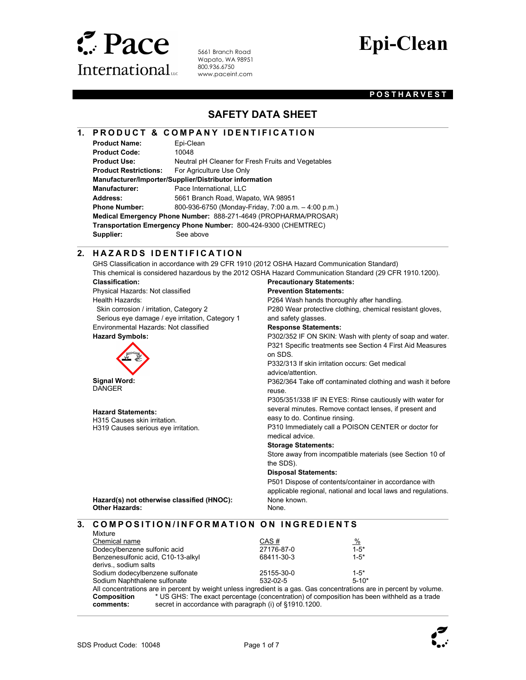

5661 Branch Road Wapato, WA 98951 800.936.6750 www.paceint.com

# Epi-Clean

#### **POSTHARVEST**

### SAFETY DATA SHEET

## 1. PRODUCT & COMPANY IDENTIFICATION

| Epi-Clean                                                       |  |  |
|-----------------------------------------------------------------|--|--|
| 10048                                                           |  |  |
| Neutral pH Cleaner for Fresh Fruits and Vegetables              |  |  |
| For Agriculture Use Only                                        |  |  |
| Manufacturer/Importer/Supplier/Distributor information          |  |  |
| Pace International, LLC                                         |  |  |
| 5661 Branch Road, Wapato, WA 98951                              |  |  |
| 800-936-6750 (Monday-Friday, 7:00 a.m. - 4:00 p.m.)             |  |  |
| Medical Emergency Phone Number: 888-271-4649 (PROPHARMA/PROSAR) |  |  |
| Transportation Emergency Phone Number: 800-424-9300 (CHEMTREC)  |  |  |
| See above                                                       |  |  |
|                                                                 |  |  |

#### 2. HAZARDS IDENTIFICATION

GHS Classification in accordance with 29 CFR 1910 (2012 OSHA Hazard Communication Standard) This chemical is considered hazardous by the 2012 OSHA Hazard Communication Standard (29 CFR 1910.1200).

#### Classification:

 $\overline{a}$ 

Physical Hazards: Not classified Health Hazards: Skin corrosion / irritation, Category 2 Serious eye damage / eye irritation, Category 1 Environmental Hazards: Not classified Hazard Symbols:

Signal Word: DANGER

#### Hazard Statements:

H315 Causes skin irritation. H319 Causes serious eye irritation.

#### Precautionary Statements: Prevention Statements:

P264 Wash hands thoroughly after handling.

P280 Wear protective clothing, chemical resistant gloves, and safety glasses.

#### Response Statements:

P302/352 IF ON SKIN: Wash with plenty of soap and water. P321 Specific treatments see Section 4 First Aid Measures on SDS.

P332/313 If skin irritation occurs: Get medical

advice/attention.

P362/364 Take off contaminated clothing and wash it before reuse.

P305/351/338 IF IN EYES: Rinse cautiously with water for several minutes. Remove contact lenses, if present and easy to do. Continue rinsing.

P310 Immediately call a POISON CENTER or doctor for medical advice.

#### Storage Statements:

Store away from incompatible materials (see Section 10 of the SDS).

#### Disposal Statements:

P501 Dispose of contents/container in accordance with applicable regional, national and local laws and regulations.

Hazard(s) not otherwise classified (HNOC): None<br>Other Hazards: None. **Other Hazards:** 

#### $\overline{a}$ 3. COMPOSITION/INFORMATION ON INGREDIENTS

| Mixture                            |  |                                                                                                                      |           |  |
|------------------------------------|--|----------------------------------------------------------------------------------------------------------------------|-----------|--|
| Chemical name                      |  | CAS#                                                                                                                 | $\%$      |  |
| Dodecylbenzene sulfonic acid       |  | 27176-87-0                                                                                                           | $1 - 5^*$ |  |
| Benzenesulfonic acid, C10-13-alkyl |  | 68411-30-3                                                                                                           | $1 - 5^*$ |  |
| derivs sodium salts                |  |                                                                                                                      |           |  |
| Sodium dodecylbenzene sulfonate    |  | 25155-30-0                                                                                                           | $1 - 5^*$ |  |
| Sodium Naphthalene sulfonate       |  | 532-02-5                                                                                                             | $5 - 10*$ |  |
|                                    |  | All concentrations are in percent by weight unless ingredient is a gas. Gas concentrations are in percent by volume. |           |  |
| <b>Composition</b>                 |  | * US GHS: The exact percentage (concentration) of composition has been withheld as a trade                           |           |  |
| comments:                          |  | secret in accordance with paragraph (i) of §1910.1200.                                                               |           |  |

 $\overline{\phantom{a}}$ 



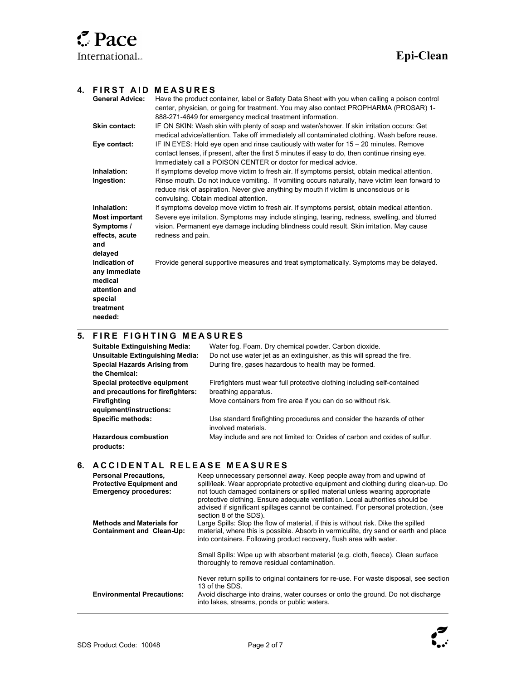**Pace** International... **Epi-Clean** 

 $\overline{5}$ .

 $\overline{a}$ 

l

#### 4. FIRST AID MEASURES

|                              | <b>General Advice:</b>                               |                   | Have the product container, label or Safety Data Sheet with you when calling a poison control<br>center, physician, or going for treatment. You may also contact PROPHARMA (PROSAR) 1-<br>888-271-4649 for emergency medical treatment information.        |
|------------------------------|------------------------------------------------------|-------------------|------------------------------------------------------------------------------------------------------------------------------------------------------------------------------------------------------------------------------------------------------------|
|                              | Skin contact:                                        |                   | IF ON SKIN: Wash skin with plenty of soap and water/shower. If skin irritation occurs: Get<br>medical advice/attention. Take off immediately all contaminated clothing. Wash before reuse.                                                                 |
|                              | Eye contact:                                         |                   | IF IN EYES: Hold eye open and rinse cautiously with water for 15 – 20 minutes. Remove<br>contact lenses, if present, after the first 5 minutes if easy to do, then continue rinsing eye.<br>Immediately call a POISON CENTER or doctor for medical advice. |
|                              | Inhalation:                                          |                   | If symptoms develop move victim to fresh air. If symptoms persist, obtain medical attention.                                                                                                                                                               |
|                              | Ingestion:                                           |                   | Rinse mouth. Do not induce vomiting. If vomiting occurs naturally, have victim lean forward to<br>reduce risk of aspiration. Never give anything by mouth if victim is unconscious or is<br>convulsing. Obtain medical attention.                          |
|                              | Inhalation:                                          |                   | If symptoms develop move victim to fresh air. If symptoms persist, obtain medical attention.                                                                                                                                                               |
| <b>Most important</b>        |                                                      |                   | Severe eye irritation. Symptoms may include stinging, tearing, redness, swelling, and blurred                                                                                                                                                              |
|                              | Symptoms /                                           |                   | vision. Permanent eye damage including blindness could result. Skin irritation. May cause                                                                                                                                                                  |
|                              | effects, acute                                       | redness and pain. |                                                                                                                                                                                                                                                            |
|                              | and<br>delayed                                       |                   |                                                                                                                                                                                                                                                            |
|                              |                                                      |                   |                                                                                                                                                                                                                                                            |
|                              | Indication of                                        |                   | Provide general supportive measures and treat symptomatically. Symptoms may be delayed.                                                                                                                                                                    |
|                              | any immediate                                        |                   |                                                                                                                                                                                                                                                            |
|                              | medical                                              |                   |                                                                                                                                                                                                                                                            |
|                              | attention and                                        |                   |                                                                                                                                                                                                                                                            |
|                              | special                                              |                   |                                                                                                                                                                                                                                                            |
|                              | treatment                                            |                   |                                                                                                                                                                                                                                                            |
|                              | needed:                                              |                   |                                                                                                                                                                                                                                                            |
| 5.<br>FIRE FIGHTING MEASURES |                                                      |                   |                                                                                                                                                                                                                                                            |
|                              | <b>Suitable Extinguishing Media:</b>                 |                   | Water fog. Foam. Dry chemical powder. Carbon dioxide.                                                                                                                                                                                                      |
|                              | <b>Unsuitable Extinguishing Media:</b>               |                   | Do not use water jet as an extinguisher, as this will spread the fire.                                                                                                                                                                                     |
|                              | <b>Special Hazards Arising from</b><br>the Chemical: |                   | During fire, gases hazardous to health may be formed.                                                                                                                                                                                                      |
|                              |                                                      |                   |                                                                                                                                                                                                                                                            |
|                              | Special protective equipment                         |                   | Firefighters must wear full protective clothing including self-contained                                                                                                                                                                                   |
|                              | and precautions for firefighters:                    |                   | breathing apparatus.                                                                                                                                                                                                                                       |
|                              | Firefighting                                         |                   | Move containers from fire area if you can do so without risk.                                                                                                                                                                                              |
|                              | equipment/instructions:                              |                   |                                                                                                                                                                                                                                                            |
|                              | <b>Specific methods:</b>                             |                   | Use standard firefighting procedures and consider the hazards of other<br>involved materials.                                                                                                                                                              |

#### 6. ACCIDENTAL RELEASE MEASURES

| <b>Personal Precautions.</b><br><b>Protective Equipment and</b><br><b>Emergency procedures:</b> | Keep unnecessary personnel away. Keep people away from and upwind of<br>spill/leak. Wear appropriate protective equipment and clothing during clean-up. Do<br>not touch damaged containers or spilled material unless wearing appropriate<br>protective clothing. Ensure adequate ventilation. Local authorities should be<br>advised if significant spillages cannot be contained. For personal protection, (see<br>section 8 of the SDS). |
|-------------------------------------------------------------------------------------------------|---------------------------------------------------------------------------------------------------------------------------------------------------------------------------------------------------------------------------------------------------------------------------------------------------------------------------------------------------------------------------------------------------------------------------------------------|
| <b>Methods and Materials for</b><br><b>Containment and Clean-Up:</b>                            | Large Spills: Stop the flow of material, if this is without risk. Dike the spilled<br>material, where this is possible. Absorb in vermiculite, dry sand or earth and place<br>into containers. Following product recovery, flush area with water.                                                                                                                                                                                           |
|                                                                                                 | Small Spills: Wipe up with absorbent material (e.g. cloth, fleece). Clean surface<br>thoroughly to remove residual contamination.                                                                                                                                                                                                                                                                                                           |
| <b>Environmental Precautions:</b>                                                               | Never return spills to original containers for re-use. For waste disposal, see section<br>13 of the SDS.<br>Avoid discharge into drains, water courses or onto the ground. Do not discharge<br>into lakes, streams, ponds or public waters.                                                                                                                                                                                                 |
|                                                                                                 |                                                                                                                                                                                                                                                                                                                                                                                                                                             |

May include and are not limited to: Oxides of carbon and oxides of sulfur.

Hazardous combustion

products:

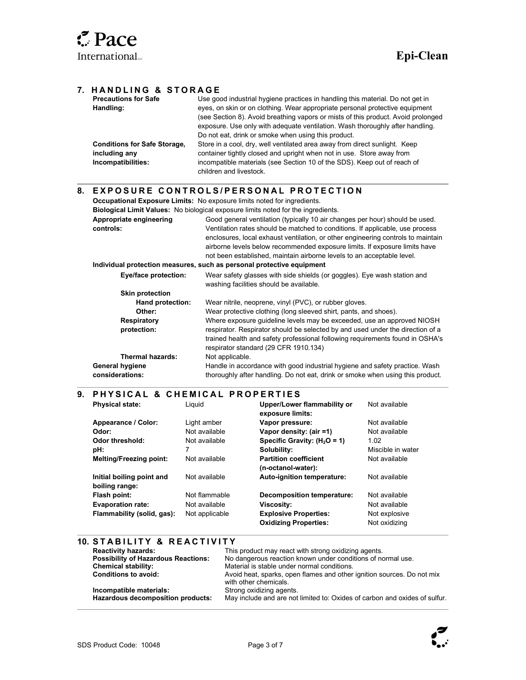|    | 7. HANDLING & STORAGE<br><b>Precautions for Safe</b><br>Handling:          | Use good industrial hygiene practices in handling this material. Do not get in<br>eyes, on skin or on clothing. Wear appropriate personal protective equipment<br>(see Section 8). Avoid breathing vapors or mists of this product. Avoid prolonged<br>exposure. Use only with adequate ventilation. Wash thoroughly after handling.<br>Do not eat, drink or smoke when using this product. |
|----|----------------------------------------------------------------------------|---------------------------------------------------------------------------------------------------------------------------------------------------------------------------------------------------------------------------------------------------------------------------------------------------------------------------------------------------------------------------------------------|
|    | <b>Conditions for Safe Storage,</b><br>including any<br>Incompatibilities: | Store in a cool, dry, well ventilated area away from direct sunlight. Keep<br>container tightly closed and upright when not in use. Store away from<br>incompatible materials (see Section 10 of the SDS). Keep out of reach of<br>children and livestock                                                                                                                                   |
| 8. | Appropriate engineering                                                    | EXPOSURE CONTROLS/PERSONAL PROTECTION<br><b>Occupational Exposure Limits:</b> No exposure limits noted for ingredients.<br><b>Biological Limit Values:</b> No biological exposure limits noted for the ingredients.<br>Good general ventilation (typically 10 air changes per hour) should be used.                                                                                         |

| Appropriate engineering<br>controls: | Good general ventilation (typically 10 air changes per hour) should be used.<br>Ventilation rates should be matched to conditions. If applicable, use process<br>enclosures, local exhaust ventilation, or other engineering controls to maintain<br>airborne levels below recommended exposure limits. If exposure limits have<br>not been established, maintain airborne levels to an acceptable level. |
|--------------------------------------|-----------------------------------------------------------------------------------------------------------------------------------------------------------------------------------------------------------------------------------------------------------------------------------------------------------------------------------------------------------------------------------------------------------|
|                                      | Individual protection measures, such as personal protective equipment                                                                                                                                                                                                                                                                                                                                     |
| Eye/face protection:                 | Wear safety glasses with side shields (or goggles). Eye wash station and<br>washing facilities should be available.                                                                                                                                                                                                                                                                                       |
| <b>Skin protection</b>               |                                                                                                                                                                                                                                                                                                                                                                                                           |
| Hand protection:                     | Wear nitrile, neoprene, vinyl (PVC), or rubber gloves.                                                                                                                                                                                                                                                                                                                                                    |
| Other:                               | Wear protective clothing (long sleeved shirt, pants, and shoes).                                                                                                                                                                                                                                                                                                                                          |
| <b>Respiratory</b>                   | Where exposure guideline levels may be exceeded, use an approved NIOSH                                                                                                                                                                                                                                                                                                                                    |
| protection:                          | respirator. Respirator should be selected by and used under the direction of a<br>trained health and safety professional following requirements found in OSHA's<br>respirator standard (29 CFR 1910.134)                                                                                                                                                                                                  |
| Thermal hazards:                     | Not applicable.                                                                                                                                                                                                                                                                                                                                                                                           |
| <b>General hygiene</b>               | Handle in accordance with good industrial hygiene and safety practice. Wash                                                                                                                                                                                                                                                                                                                               |
| considerations:                      | thoroughly after handling. Do not eat, drink or smoke when using this product.                                                                                                                                                                                                                                                                                                                            |

#### 9. PHYSICAL & CHEMICAL PROPERTIES

| <b>Physical state:</b>                      | Liquid         | Upper/Lower flammability or<br>exposure limits:    | Not available     |
|---------------------------------------------|----------------|----------------------------------------------------|-------------------|
| Appearance / Color:                         | Light amber    | Vapor pressure:                                    | Not available     |
| Odor:                                       | Not available  | Vapor density: (air =1)                            | Not available     |
| Odor threshold:                             | Not available  | Specific Gravity: $(H2O = 1)$                      | 1.02              |
| pH:                                         |                | Solubility:                                        | Miscible in water |
| <b>Melting/Freezing point:</b>              | Not available  | <b>Partition coefficient</b><br>(n-octanol-water): | Not available     |
| Initial boiling point and<br>boiling range: | Not available  | Auto-ignition temperature:                         | Not available     |
| Flash point:                                | Not flammable  | Decomposition temperature:                         | Not available     |
| <b>Evaporation rate:</b>                    | Not available  | Viscosity:                                         | Not available     |
| Flammability (solid, gas):                  | Not applicable | <b>Explosive Properties:</b>                       | Not explosive     |
|                                             |                | <b>Oxidizing Properties:</b>                       | Not oxidizina     |

| <b>10. STABILITY &amp; REACTIVITY</b>      |                                                                                                 |
|--------------------------------------------|-------------------------------------------------------------------------------------------------|
| <b>Reactivity hazards:</b>                 | This product may react with strong oxidizing agents.                                            |
| <b>Possibility of Hazardous Reactions:</b> | No dangerous reaction known under conditions of normal use.                                     |
| <b>Chemical stability:</b>                 | Material is stable under normal conditions.                                                     |
| <b>Conditions to avoid:</b>                | Avoid heat, sparks, open flames and other ignition sources. Do not mix<br>with other chemicals. |
| Incompatible materials:                    | Strong oxidizing agents.                                                                        |
| <b>Hazardous decomposition products:</b>   | May include and are not limited to: Oxides of carbon and oxides of sulfur.                      |

 $\overline{a}$ 

 $\overline{a}$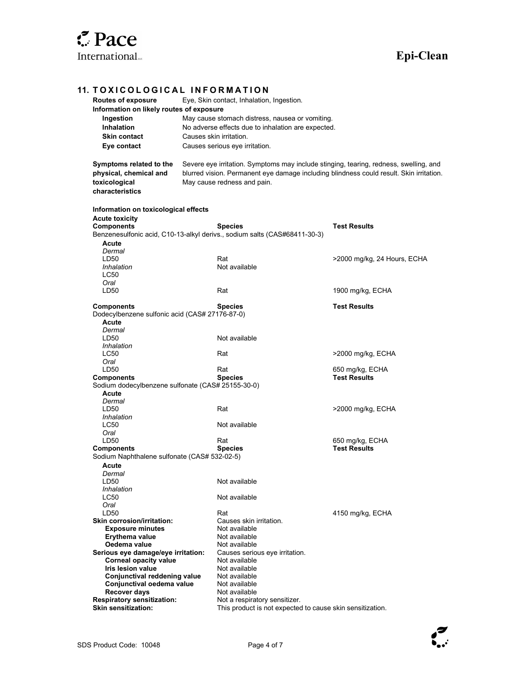

| Eye, Skin contact, Inhalation, Ingestion.<br>Routes of exposure<br>Information on likely routes of exposure<br>Ingestion<br>May cause stomach distress, nausea or vomiting.<br><b>Inhalation</b><br>No adverse effects due to inhalation are expected.<br><b>Skin contact</b><br>Causes skin irritation.<br>Eye contact<br>Causes serious eye irritation.<br>Symptoms related to the<br>Severe eye irritation. Symptoms may include stinging, tearing, redness, swelling, and<br>physical, chemical and<br>blurred vision. Permanent eye damage including blindness could result. Skin irritation.<br>toxicological<br>May cause redness and pain.<br>characteristics<br>Information on toxicological effects<br><b>Acute toxicity</b><br><b>Test Results</b><br><b>Components</b><br><b>Species</b><br>Benzenesulfonic acid, C10-13-alkyl derivs., sodium salts (CAS#68411-30-3)<br>Acute<br>Dermal<br>LD <sub>50</sub><br>Rat<br>>2000 mg/kg, 24 Hours, ECHA<br>Not available<br>Inhalation<br>LC50<br>Oral<br>Rat<br>LD50<br>1900 mg/kg, ECHA<br><b>Test Results</b><br><b>Components</b><br>Species<br>Dodecylbenzene sulfonic acid (CAS# 27176-87-0)<br>Acute<br>Dermal<br>LD <sub>50</sub><br>Not available<br>Inhalation<br>LC50<br>Rat<br>>2000 mg/kg, ECHA<br>Oral<br>LD <sub>50</sub><br>Rat<br>650 mg/kg, ECHA<br><b>Species</b><br><b>Test Results</b><br><b>Components</b><br>Sodium dodecylbenzene sulfonate (CAS# 25155-30-0)<br>Acute<br>Dermal<br>Rat<br>LD50<br>>2000 mg/kg, ECHA<br>Inhalation<br>Not available<br>LC50<br>Oral<br>LD50<br>Rat<br>650 mg/kg, ECHA |  |
|--------------------------------------------------------------------------------------------------------------------------------------------------------------------------------------------------------------------------------------------------------------------------------------------------------------------------------------------------------------------------------------------------------------------------------------------------------------------------------------------------------------------------------------------------------------------------------------------------------------------------------------------------------------------------------------------------------------------------------------------------------------------------------------------------------------------------------------------------------------------------------------------------------------------------------------------------------------------------------------------------------------------------------------------------------------------------------------------------------------------------------------------------------------------------------------------------------------------------------------------------------------------------------------------------------------------------------------------------------------------------------------------------------------------------------------------------------------------------------------------------------------------------------------------------------------------------------------|--|
|                                                                                                                                                                                                                                                                                                                                                                                                                                                                                                                                                                                                                                                                                                                                                                                                                                                                                                                                                                                                                                                                                                                                                                                                                                                                                                                                                                                                                                                                                                                                                                                      |  |
|                                                                                                                                                                                                                                                                                                                                                                                                                                                                                                                                                                                                                                                                                                                                                                                                                                                                                                                                                                                                                                                                                                                                                                                                                                                                                                                                                                                                                                                                                                                                                                                      |  |
|                                                                                                                                                                                                                                                                                                                                                                                                                                                                                                                                                                                                                                                                                                                                                                                                                                                                                                                                                                                                                                                                                                                                                                                                                                                                                                                                                                                                                                                                                                                                                                                      |  |
|                                                                                                                                                                                                                                                                                                                                                                                                                                                                                                                                                                                                                                                                                                                                                                                                                                                                                                                                                                                                                                                                                                                                                                                                                                                                                                                                                                                                                                                                                                                                                                                      |  |
|                                                                                                                                                                                                                                                                                                                                                                                                                                                                                                                                                                                                                                                                                                                                                                                                                                                                                                                                                                                                                                                                                                                                                                                                                                                                                                                                                                                                                                                                                                                                                                                      |  |
|                                                                                                                                                                                                                                                                                                                                                                                                                                                                                                                                                                                                                                                                                                                                                                                                                                                                                                                                                                                                                                                                                                                                                                                                                                                                                                                                                                                                                                                                                                                                                                                      |  |
|                                                                                                                                                                                                                                                                                                                                                                                                                                                                                                                                                                                                                                                                                                                                                                                                                                                                                                                                                                                                                                                                                                                                                                                                                                                                                                                                                                                                                                                                                                                                                                                      |  |
|                                                                                                                                                                                                                                                                                                                                                                                                                                                                                                                                                                                                                                                                                                                                                                                                                                                                                                                                                                                                                                                                                                                                                                                                                                                                                                                                                                                                                                                                                                                                                                                      |  |
|                                                                                                                                                                                                                                                                                                                                                                                                                                                                                                                                                                                                                                                                                                                                                                                                                                                                                                                                                                                                                                                                                                                                                                                                                                                                                                                                                                                                                                                                                                                                                                                      |  |
|                                                                                                                                                                                                                                                                                                                                                                                                                                                                                                                                                                                                                                                                                                                                                                                                                                                                                                                                                                                                                                                                                                                                                                                                                                                                                                                                                                                                                                                                                                                                                                                      |  |
|                                                                                                                                                                                                                                                                                                                                                                                                                                                                                                                                                                                                                                                                                                                                                                                                                                                                                                                                                                                                                                                                                                                                                                                                                                                                                                                                                                                                                                                                                                                                                                                      |  |
|                                                                                                                                                                                                                                                                                                                                                                                                                                                                                                                                                                                                                                                                                                                                                                                                                                                                                                                                                                                                                                                                                                                                                                                                                                                                                                                                                                                                                                                                                                                                                                                      |  |
|                                                                                                                                                                                                                                                                                                                                                                                                                                                                                                                                                                                                                                                                                                                                                                                                                                                                                                                                                                                                                                                                                                                                                                                                                                                                                                                                                                                                                                                                                                                                                                                      |  |
|                                                                                                                                                                                                                                                                                                                                                                                                                                                                                                                                                                                                                                                                                                                                                                                                                                                                                                                                                                                                                                                                                                                                                                                                                                                                                                                                                                                                                                                                                                                                                                                      |  |
|                                                                                                                                                                                                                                                                                                                                                                                                                                                                                                                                                                                                                                                                                                                                                                                                                                                                                                                                                                                                                                                                                                                                                                                                                                                                                                                                                                                                                                                                                                                                                                                      |  |
|                                                                                                                                                                                                                                                                                                                                                                                                                                                                                                                                                                                                                                                                                                                                                                                                                                                                                                                                                                                                                                                                                                                                                                                                                                                                                                                                                                                                                                                                                                                                                                                      |  |
|                                                                                                                                                                                                                                                                                                                                                                                                                                                                                                                                                                                                                                                                                                                                                                                                                                                                                                                                                                                                                                                                                                                                                                                                                                                                                                                                                                                                                                                                                                                                                                                      |  |
|                                                                                                                                                                                                                                                                                                                                                                                                                                                                                                                                                                                                                                                                                                                                                                                                                                                                                                                                                                                                                                                                                                                                                                                                                                                                                                                                                                                                                                                                                                                                                                                      |  |
|                                                                                                                                                                                                                                                                                                                                                                                                                                                                                                                                                                                                                                                                                                                                                                                                                                                                                                                                                                                                                                                                                                                                                                                                                                                                                                                                                                                                                                                                                                                                                                                      |  |
|                                                                                                                                                                                                                                                                                                                                                                                                                                                                                                                                                                                                                                                                                                                                                                                                                                                                                                                                                                                                                                                                                                                                                                                                                                                                                                                                                                                                                                                                                                                                                                                      |  |
|                                                                                                                                                                                                                                                                                                                                                                                                                                                                                                                                                                                                                                                                                                                                                                                                                                                                                                                                                                                                                                                                                                                                                                                                                                                                                                                                                                                                                                                                                                                                                                                      |  |
|                                                                                                                                                                                                                                                                                                                                                                                                                                                                                                                                                                                                                                                                                                                                                                                                                                                                                                                                                                                                                                                                                                                                                                                                                                                                                                                                                                                                                                                                                                                                                                                      |  |
|                                                                                                                                                                                                                                                                                                                                                                                                                                                                                                                                                                                                                                                                                                                                                                                                                                                                                                                                                                                                                                                                                                                                                                                                                                                                                                                                                                                                                                                                                                                                                                                      |  |
|                                                                                                                                                                                                                                                                                                                                                                                                                                                                                                                                                                                                                                                                                                                                                                                                                                                                                                                                                                                                                                                                                                                                                                                                                                                                                                                                                                                                                                                                                                                                                                                      |  |
|                                                                                                                                                                                                                                                                                                                                                                                                                                                                                                                                                                                                                                                                                                                                                                                                                                                                                                                                                                                                                                                                                                                                                                                                                                                                                                                                                                                                                                                                                                                                                                                      |  |
|                                                                                                                                                                                                                                                                                                                                                                                                                                                                                                                                                                                                                                                                                                                                                                                                                                                                                                                                                                                                                                                                                                                                                                                                                                                                                                                                                                                                                                                                                                                                                                                      |  |
|                                                                                                                                                                                                                                                                                                                                                                                                                                                                                                                                                                                                                                                                                                                                                                                                                                                                                                                                                                                                                                                                                                                                                                                                                                                                                                                                                                                                                                                                                                                                                                                      |  |
|                                                                                                                                                                                                                                                                                                                                                                                                                                                                                                                                                                                                                                                                                                                                                                                                                                                                                                                                                                                                                                                                                                                                                                                                                                                                                                                                                                                                                                                                                                                                                                                      |  |
|                                                                                                                                                                                                                                                                                                                                                                                                                                                                                                                                                                                                                                                                                                                                                                                                                                                                                                                                                                                                                                                                                                                                                                                                                                                                                                                                                                                                                                                                                                                                                                                      |  |
|                                                                                                                                                                                                                                                                                                                                                                                                                                                                                                                                                                                                                                                                                                                                                                                                                                                                                                                                                                                                                                                                                                                                                                                                                                                                                                                                                                                                                                                                                                                                                                                      |  |
|                                                                                                                                                                                                                                                                                                                                                                                                                                                                                                                                                                                                                                                                                                                                                                                                                                                                                                                                                                                                                                                                                                                                                                                                                                                                                                                                                                                                                                                                                                                                                                                      |  |
|                                                                                                                                                                                                                                                                                                                                                                                                                                                                                                                                                                                                                                                                                                                                                                                                                                                                                                                                                                                                                                                                                                                                                                                                                                                                                                                                                                                                                                                                                                                                                                                      |  |
|                                                                                                                                                                                                                                                                                                                                                                                                                                                                                                                                                                                                                                                                                                                                                                                                                                                                                                                                                                                                                                                                                                                                                                                                                                                                                                                                                                                                                                                                                                                                                                                      |  |
|                                                                                                                                                                                                                                                                                                                                                                                                                                                                                                                                                                                                                                                                                                                                                                                                                                                                                                                                                                                                                                                                                                                                                                                                                                                                                                                                                                                                                                                                                                                                                                                      |  |
| <b>Test Results</b><br><b>Components</b>                                                                                                                                                                                                                                                                                                                                                                                                                                                                                                                                                                                                                                                                                                                                                                                                                                                                                                                                                                                                                                                                                                                                                                                                                                                                                                                                                                                                                                                                                                                                             |  |
| <b>Species</b><br>Sodium Naphthalene sulfonate (CAS# 532-02-5)                                                                                                                                                                                                                                                                                                                                                                                                                                                                                                                                                                                                                                                                                                                                                                                                                                                                                                                                                                                                                                                                                                                                                                                                                                                                                                                                                                                                                                                                                                                       |  |
| Acute                                                                                                                                                                                                                                                                                                                                                                                                                                                                                                                                                                                                                                                                                                                                                                                                                                                                                                                                                                                                                                                                                                                                                                                                                                                                                                                                                                                                                                                                                                                                                                                |  |
| Dermal                                                                                                                                                                                                                                                                                                                                                                                                                                                                                                                                                                                                                                                                                                                                                                                                                                                                                                                                                                                                                                                                                                                                                                                                                                                                                                                                                                                                                                                                                                                                                                               |  |
| LD50<br>Not available                                                                                                                                                                                                                                                                                                                                                                                                                                                                                                                                                                                                                                                                                                                                                                                                                                                                                                                                                                                                                                                                                                                                                                                                                                                                                                                                                                                                                                                                                                                                                                |  |
| Inhalation                                                                                                                                                                                                                                                                                                                                                                                                                                                                                                                                                                                                                                                                                                                                                                                                                                                                                                                                                                                                                                                                                                                                                                                                                                                                                                                                                                                                                                                                                                                                                                           |  |
| LC50<br>Not available<br>Oral                                                                                                                                                                                                                                                                                                                                                                                                                                                                                                                                                                                                                                                                                                                                                                                                                                                                                                                                                                                                                                                                                                                                                                                                                                                                                                                                                                                                                                                                                                                                                        |  |
| LD50<br>Rat<br>4150 mg/kg, ECHA                                                                                                                                                                                                                                                                                                                                                                                                                                                                                                                                                                                                                                                                                                                                                                                                                                                                                                                                                                                                                                                                                                                                                                                                                                                                                                                                                                                                                                                                                                                                                      |  |
| <b>Skin corrosion/irritation:</b><br>Causes skin irritation.                                                                                                                                                                                                                                                                                                                                                                                                                                                                                                                                                                                                                                                                                                                                                                                                                                                                                                                                                                                                                                                                                                                                                                                                                                                                                                                                                                                                                                                                                                                         |  |
| <b>Exposure minutes</b><br>Not available                                                                                                                                                                                                                                                                                                                                                                                                                                                                                                                                                                                                                                                                                                                                                                                                                                                                                                                                                                                                                                                                                                                                                                                                                                                                                                                                                                                                                                                                                                                                             |  |
| Erythema value<br>Not available<br>Not available                                                                                                                                                                                                                                                                                                                                                                                                                                                                                                                                                                                                                                                                                                                                                                                                                                                                                                                                                                                                                                                                                                                                                                                                                                                                                                                                                                                                                                                                                                                                     |  |
| Oedema value<br>Serious eye damage/eye irritation:<br>Causes serious eye irritation.                                                                                                                                                                                                                                                                                                                                                                                                                                                                                                                                                                                                                                                                                                                                                                                                                                                                                                                                                                                                                                                                                                                                                                                                                                                                                                                                                                                                                                                                                                 |  |
| <b>Corneal opacity value</b><br>Not available                                                                                                                                                                                                                                                                                                                                                                                                                                                                                                                                                                                                                                                                                                                                                                                                                                                                                                                                                                                                                                                                                                                                                                                                                                                                                                                                                                                                                                                                                                                                        |  |
| <b>Iris lesion value</b><br>Not available                                                                                                                                                                                                                                                                                                                                                                                                                                                                                                                                                                                                                                                                                                                                                                                                                                                                                                                                                                                                                                                                                                                                                                                                                                                                                                                                                                                                                                                                                                                                            |  |
| Conjunctival reddening value<br>Not available                                                                                                                                                                                                                                                                                                                                                                                                                                                                                                                                                                                                                                                                                                                                                                                                                                                                                                                                                                                                                                                                                                                                                                                                                                                                                                                                                                                                                                                                                                                                        |  |
| Conjunctival oedema value<br>Not available                                                                                                                                                                                                                                                                                                                                                                                                                                                                                                                                                                                                                                                                                                                                                                                                                                                                                                                                                                                                                                                                                                                                                                                                                                                                                                                                                                                                                                                                                                                                           |  |
| Recover days<br>Not available<br>Respiratory sensitization:<br>Not a respiratory sensitizer.                                                                                                                                                                                                                                                                                                                                                                                                                                                                                                                                                                                                                                                                                                                                                                                                                                                                                                                                                                                                                                                                                                                                                                                                                                                                                                                                                                                                                                                                                         |  |
|                                                                                                                                                                                                                                                                                                                                                                                                                                                                                                                                                                                                                                                                                                                                                                                                                                                                                                                                                                                                                                                                                                                                                                                                                                                                                                                                                                                                                                                                                                                                                                                      |  |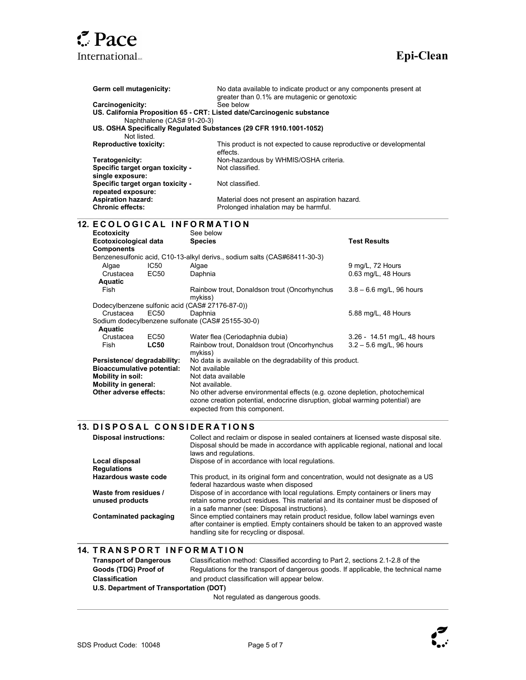

| Germ cell mutagenicity:                                                 | No data available to indicate product or any components present at<br>greater than 0.1% are mutagenic or genotoxic |
|-------------------------------------------------------------------------|--------------------------------------------------------------------------------------------------------------------|
| Carcinogenicity:                                                        | See below                                                                                                          |
| US. California Proposition 65 - CRT: Listed date/Carcinogenic substance |                                                                                                                    |
| Naphthalene (CAS# 91-20-3)                                              |                                                                                                                    |
| US. OSHA Specifically Regulated Substances (29 CFR 1910.1001-1052)      |                                                                                                                    |
| Not listed                                                              |                                                                                                                    |
| <b>Reproductive toxicity:</b>                                           | This product is not expected to cause reproductive or developmental<br>effects.                                    |
| Teratogenicity:                                                         | Non-hazardous by WHMIS/OSHA criteria.                                                                              |
| Specific target organ toxicity -<br>single exposure:                    | Not classified                                                                                                     |
| Specific target organ toxicity -<br>repeated exposure:                  | Not classified                                                                                                     |
| <b>Aspiration hazard:</b><br><b>Chronic effects:</b>                    | Material does not present an aspiration hazard.<br>Prolonged inhalation may be harmful.                            |

## 12. E COLOGICAL INFORMATION

| <b>Ecotoxicity</b>                                |                  | See below                                                                                                                                                                                     |                             |
|---------------------------------------------------|------------------|-----------------------------------------------------------------------------------------------------------------------------------------------------------------------------------------------|-----------------------------|
| Ecotoxicological data                             |                  | <b>Species</b>                                                                                                                                                                                | <b>Test Results</b>         |
| <b>Components</b>                                 |                  |                                                                                                                                                                                               |                             |
|                                                   |                  | Benzenesulfonic acid, C10-13-alkyl derivs., sodium salts (CAS#68411-30-3)                                                                                                                     |                             |
| Algae                                             | IC50             | Algae                                                                                                                                                                                         | 9 mg/L, 72 Hours            |
| Crustacea                                         | EC50             | Daphnia                                                                                                                                                                                       | 0.63 mg/L, 48 Hours         |
| Aquatic                                           |                  |                                                                                                                                                                                               |                             |
| <b>Fish</b>                                       |                  | Rainbow trout, Donaldson trout (Oncorhynchus<br>mykiss)                                                                                                                                       | $3.8 - 6.6$ mg/L, 96 hours  |
| Dodecylbenzene sulfonic acid (CAS# 27176-87-0))   |                  |                                                                                                                                                                                               |                             |
| Crustacea                                         | EC <sub>50</sub> | Daphnia                                                                                                                                                                                       | 5.88 mg/L, 48 Hours         |
| Sodium dodecylbenzene sulfonate (CAS# 25155-30-0) |                  |                                                                                                                                                                                               |                             |
| <b>Aquatic</b>                                    |                  |                                                                                                                                                                                               |                             |
| Crustacea                                         | EC <sub>50</sub> | Water flea (Ceriodaphnia dubia)                                                                                                                                                               | 3.26 - 14.51 mg/L, 48 hours |
| Fish                                              | <b>LC50</b>      | Rainbow trout, Donaldson trout (Oncorhynchus<br>mykiss)                                                                                                                                       | $3.2 - 5.6$ mg/L, 96 hours  |
| Persistence/degradability:                        |                  | No data is available on the degradability of this product.                                                                                                                                    |                             |
| <b>Bioaccumulative potential:</b>                 |                  | Not available                                                                                                                                                                                 |                             |
| Mobility in soil:                                 |                  | Not data available                                                                                                                                                                            |                             |
| Mobility in general:                              |                  | Not available.                                                                                                                                                                                |                             |
| Other adverse effects:                            |                  | No other adverse environmental effects (e.g. ozone depletion, photochemical<br>ozone creation potential, endocrine disruption, global warming potential) are<br>expected from this component. |                             |

#### 13. DISPOSAL CONSIDERATIONS

| <b>Disposal instructions:</b>            | Collect and reclaim or dispose in sealed containers at licensed waste disposal site.<br>Disposal should be made in accordance with applicable regional, national and local<br>laws and regulations.                    |
|------------------------------------------|------------------------------------------------------------------------------------------------------------------------------------------------------------------------------------------------------------------------|
| Local disposal                           | Dispose of in accordance with local regulations.                                                                                                                                                                       |
| <b>Regulations</b>                       |                                                                                                                                                                                                                        |
| Hazardous waste code                     | This product, in its original form and concentration, would not designate as a US<br>federal hazardous waste when disposed                                                                                             |
| Waste from residues /<br>unused products | Dispose of in accordance with local regulations. Empty containers or liners may<br>retain some product residues. This material and its container must be disposed of<br>in a safe manner (see: Disposal instructions). |
| Contaminated packaging                   | Since emptied containers may retain product residue, follow label warnings even<br>after container is emptied. Empty containers should be taken to an approved waste<br>handling site for recycling or disposal.       |

### **14. TRANSPORT INFORMATION**

| <b>Transport of Dangerous</b>           | Classification method: Classified according to Part 2, sections 2.1-2.8 of the      |  |  |  |  |  |
|-----------------------------------------|-------------------------------------------------------------------------------------|--|--|--|--|--|
| Goods (TDG) Proof of                    | Regulations for the transport of dangerous goods. If applicable, the technical name |  |  |  |  |  |
| <b>Classification</b>                   | and product classification will appear below.                                       |  |  |  |  |  |
| U.S. Department of Transportation (DOT) |                                                                                     |  |  |  |  |  |

Not regulated as dangerous goods.

 $\overline{a}$ 

 $\overline{a}$ 

 $\overline{\phantom{a}}$ 

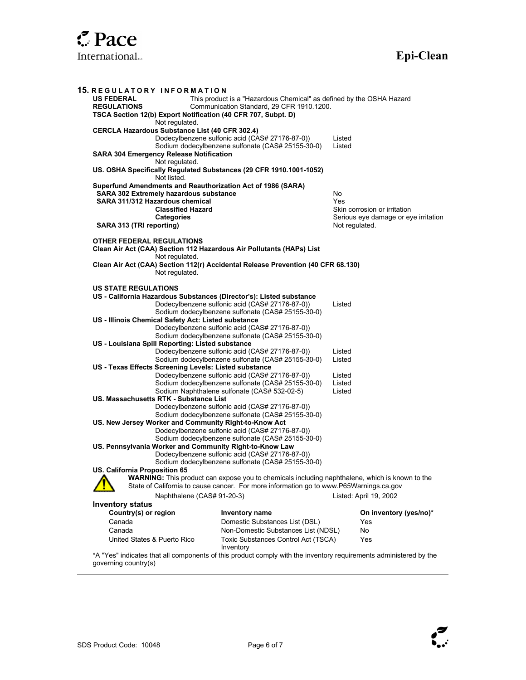|                                                                                    | 15. REGULATORY INFORMATION                                                                                         |                            |                                                                                                      |                  |                                      |  |  |
|------------------------------------------------------------------------------------|--------------------------------------------------------------------------------------------------------------------|----------------------------|------------------------------------------------------------------------------------------------------|------------------|--------------------------------------|--|--|
|                                                                                    | <b>US FEDERAL</b><br>This product is a "Hazardous Chemical" as defined by the OSHA Hazard                          |                            |                                                                                                      |                  |                                      |  |  |
|                                                                                    | <b>REGULATIONS</b><br>Communication Standard, 29 CFR 1910.1200.                                                    |                            |                                                                                                      |                  |                                      |  |  |
|                                                                                    | TSCA Section 12(b) Export Notification (40 CFR 707, Subpt. D)                                                      |                            |                                                                                                      |                  |                                      |  |  |
|                                                                                    | Not regulated.                                                                                                     |                            |                                                                                                      |                  |                                      |  |  |
|                                                                                    | CERCLA Hazardous Substance List (40 CFR 302.4)<br>Dodecylbenzene sulfonic acid (CAS# 27176-87-0))<br>Listed        |                            |                                                                                                      |                  |                                      |  |  |
|                                                                                    |                                                                                                                    |                            | Sodium dodecylbenzene sulfonate (CAS# 25155-30-0)                                                    | Listed           |                                      |  |  |
|                                                                                    |                                                                                                                    |                            |                                                                                                      |                  |                                      |  |  |
|                                                                                    | <b>SARA 304 Emergency Release Notification</b><br>Not regulated.                                                   |                            |                                                                                                      |                  |                                      |  |  |
|                                                                                    | US. OSHA Specifically Regulated Substances (29 CFR 1910.1001-1052)<br>Not listed.                                  |                            |                                                                                                      |                  |                                      |  |  |
|                                                                                    | Superfund Amendments and Reauthorization Act of 1986 (SARA)                                                        |                            |                                                                                                      |                  |                                      |  |  |
|                                                                                    | SARA 302 Extremely hazardous substance                                                                             |                            |                                                                                                      |                  | No                                   |  |  |
|                                                                                    | SARA 311/312 Hazardous chemical                                                                                    |                            |                                                                                                      | Yes              |                                      |  |  |
|                                                                                    |                                                                                                                    | <b>Classified Hazard</b>   |                                                                                                      |                  | Skin corrosion or irritation         |  |  |
|                                                                                    |                                                                                                                    | <b>Categories</b>          |                                                                                                      |                  | Serious eye damage or eye irritation |  |  |
|                                                                                    | SARA 313 (TRI reporting)                                                                                           |                            |                                                                                                      | Not regulated.   |                                      |  |  |
|                                                                                    |                                                                                                                    |                            |                                                                                                      |                  |                                      |  |  |
|                                                                                    | <b>OTHER FEDERAL REGULATIONS</b><br>Clean Air Act (CAA) Section 112 Hazardous Air Pollutants (HAPs) List           |                            |                                                                                                      |                  |                                      |  |  |
|                                                                                    |                                                                                                                    | Not regulated.             |                                                                                                      |                  |                                      |  |  |
|                                                                                    |                                                                                                                    |                            | Clean Air Act (CAA) Section 112(r) Accidental Release Prevention (40 CFR 68.130)                     |                  |                                      |  |  |
|                                                                                    |                                                                                                                    | Not regulated.             |                                                                                                      |                  |                                      |  |  |
|                                                                                    | <b>US STATE REGULATIONS</b>                                                                                        |                            |                                                                                                      |                  |                                      |  |  |
|                                                                                    |                                                                                                                    |                            | US - California Hazardous Substances (Director's): Listed substance                                  |                  |                                      |  |  |
|                                                                                    |                                                                                                                    |                            | Dodecylbenzene sulfonic acid (CAS# 27176-87-0))                                                      | Listed           |                                      |  |  |
|                                                                                    |                                                                                                                    |                            | Sodium dodecylbenzene sulfonate (CAS# 25155-30-0)                                                    |                  |                                      |  |  |
|                                                                                    | US - Illinois Chemical Safety Act: Listed substance                                                                |                            |                                                                                                      |                  |                                      |  |  |
|                                                                                    | Dodecylbenzene sulfonic acid (CAS# 27176-87-0))                                                                    |                            |                                                                                                      |                  |                                      |  |  |
|                                                                                    |                                                                                                                    |                            | Sodium dodecylbenzene sulfonate (CAS# 25155-30-0)                                                    |                  |                                      |  |  |
|                                                                                    | US - Louisiana Spill Reporting: Listed substance                                                                   |                            |                                                                                                      |                  |                                      |  |  |
|                                                                                    |                                                                                                                    |                            | Dodecylbenzene sulfonic acid (CAS# 27176-87-0))<br>Sodium dodecylbenzene sulfonate (CAS# 25155-30-0) | Listed<br>Listed |                                      |  |  |
|                                                                                    |                                                                                                                    |                            |                                                                                                      |                  |                                      |  |  |
|                                                                                    | US - Texas Effects Screening Levels: Listed substance<br>Dodecylbenzene sulfonic acid (CAS# 27176-87-0))<br>Listed |                            |                                                                                                      |                  |                                      |  |  |
|                                                                                    |                                                                                                                    |                            | Sodium dodecylbenzene sulfonate (CAS# 25155-30-0)                                                    | Listed           |                                      |  |  |
|                                                                                    |                                                                                                                    |                            | Sodium Naphthalene sulfonate (CAS# 532-02-5)                                                         | Listed           |                                      |  |  |
|                                                                                    | US. Massachusetts RTK - Substance List                                                                             |                            |                                                                                                      |                  |                                      |  |  |
|                                                                                    |                                                                                                                    |                            | Dodecylbenzene sulfonic acid (CAS# 27176-87-0))                                                      |                  |                                      |  |  |
|                                                                                    |                                                                                                                    |                            | Sodium dodecylbenzene sulfonate (CAS# 25155-30-0)                                                    |                  |                                      |  |  |
|                                                                                    |                                                                                                                    |                            | US. New Jersey Worker and Community Right-to-Know Act                                                |                  |                                      |  |  |
|                                                                                    |                                                                                                                    |                            | Dodecylbenzene sulfonic acid (CAS# 27176-87-0))                                                      |                  |                                      |  |  |
|                                                                                    | Sodium dodecylbenzene sulfonate (CAS# 25155-30-0)<br>US. Pennsylvania Worker and Community Right-to-Know Law       |                            |                                                                                                      |                  |                                      |  |  |
|                                                                                    |                                                                                                                    |                            | Dodecylbenzene sulfonic acid (CAS# 27176-87-0))                                                      |                  |                                      |  |  |
|                                                                                    |                                                                                                                    |                            |                                                                                                      |                  |                                      |  |  |
| Sodium dodecylbenzene sulfonate (CAS# 25155-30-0)<br>US. California Proposition 65 |                                                                                                                    |                            |                                                                                                      |                  |                                      |  |  |
|                                                                                    |                                                                                                                    |                            | WARNING: This product can expose you to chemicals including naphthalene, which is known to the       |                  |                                      |  |  |
|                                                                                    |                                                                                                                    |                            | State of California to cause cancer. For more information go to www.P65Warnings.ca.gov               |                  |                                      |  |  |
|                                                                                    |                                                                                                                    | Naphthalene (CAS# 91-20-3) |                                                                                                      |                  | Listed: April 19, 2002               |  |  |
| <b>Inventory status</b>                                                            |                                                                                                                    |                            |                                                                                                      |                  |                                      |  |  |
|                                                                                    | Country(s) or region                                                                                               |                            | Inventory name                                                                                       |                  | On inventory (yes/no)*               |  |  |
|                                                                                    | Canada                                                                                                             |                            | Domestic Substances List (DSL)                                                                       |                  | Yes                                  |  |  |
|                                                                                    | Canada                                                                                                             |                            | Non-Domestic Substances List (NDSL)                                                                  |                  | No                                   |  |  |
|                                                                                    | United States & Puerto Rico                                                                                        |                            | Toxic Substances Control Act (TSCA)                                                                  |                  | Yes                                  |  |  |
|                                                                                    |                                                                                                                    |                            | Inventory                                                                                            |                  |                                      |  |  |

\*A "Yes" indicates that all components of this product comply with the inventory requirements administered by the governing country(s)

l